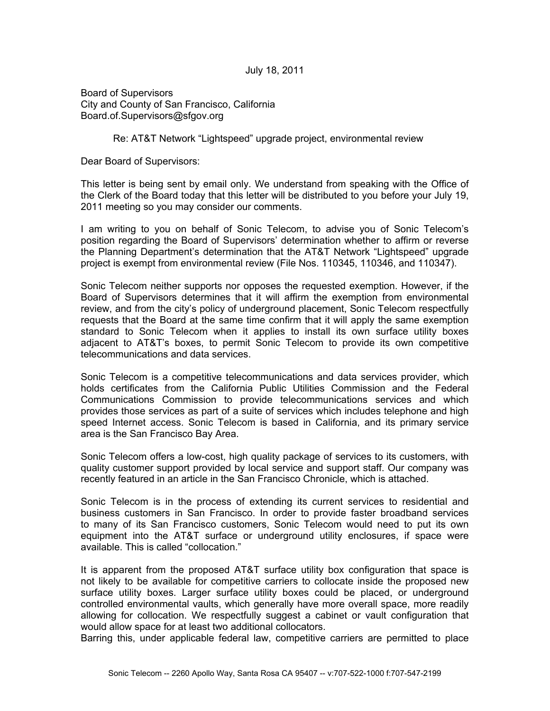July 18, 2011

Board of Supervisors City and County of San Francisco, California Board.of.Supervisors@sfgov.org

Re: AT&T Network "Lightspeed" upgrade project, environmental review

Dear Board of Supervisors:

This letter is being sent by email only. We understand from speaking with the Office of the Clerk of the Board today that this letter will be distributed to you before your July 19, 2011 meeting so you may consider our comments.

I am writing to you on behalf of Sonic Telecom, to advise you of Sonic Telecom's position regarding the Board of Supervisors' determination whether to affirm or reverse the Planning Department's determination that the AT&T Network "Lightspeed" upgrade project is exempt from environmental review (File Nos. 110345, 110346, and 110347).

Sonic Telecom neither supports nor opposes the requested exemption. However, if the Board of Supervisors determines that it will affirm the exemption from environmental review, and from the city's policy of underground placement, Sonic Telecom respectfully requests that the Board at the same time confirm that it will apply the same exemption standard to Sonic Telecom when it applies to install its own surface utility boxes adjacent to AT&T's boxes, to permit Sonic Telecom to provide its own competitive telecommunications and data services.

Sonic Telecom is a competitive telecommunications and data services provider, which holds certificates from the California Public Utilities Commission and the Federal Communications Commission to provide telecommunications services and which provides those services as part of a suite of services which includes telephone and high speed Internet access. Sonic Telecom is based in California, and its primary service area is the San Francisco Bay Area.

Sonic Telecom offers a low-cost, high quality package of services to its customers, with quality customer support provided by local service and support staff. Our company was recently featured in an article in the San Francisco Chronicle, which is attached.

Sonic Telecom is in the process of extending its current services to residential and business customers in San Francisco. In order to provide faster broadband services to many of its San Francisco customers, Sonic Telecom would need to put its own equipment into the AT&T surface or underground utility enclosures, if space were available. This is called "collocation."

It is apparent from the proposed AT&T surface utility box configuration that space is not likely to be available for competitive carriers to collocate inside the proposed new surface utility boxes. Larger surface utility boxes could be placed, or underground controlled environmental vaults, which generally have more overall space, more readily allowing for collocation. We respectfully suggest a cabinet or vault configuration that would allow space for at least two additional collocators.

Barring this, under applicable federal law, competitive carriers are permitted to place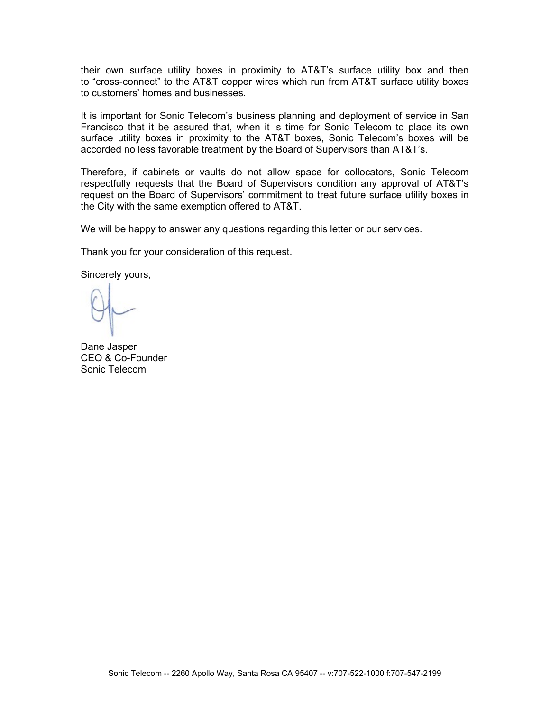their own surface utility boxes in proximity to AT&T's surface utility box and then to "cross-connect" to the AT&T copper wires which run from AT&T surface utility boxes to customers' homes and businesses.

It is important for Sonic Telecom's business planning and deployment of service in San Francisco that it be assured that, when it is time for Sonic Telecom to place its own surface utility boxes in proximity to the AT&T boxes, Sonic Telecom's boxes will be accorded no less favorable treatment by the Board of Supervisors than AT&T's.

Therefore, if cabinets or vaults do not allow space for collocators, Sonic Telecom respectfully requests that the Board of Supervisors condition any approval of AT&T's request on the Board of Supervisors' commitment to treat future surface utility boxes in the City with the same exemption offered to AT&T.

We will be happy to answer any questions regarding this letter or our services.

Thank you for your consideration of this request.

Sincerely yours,

Dane Jasper CEO & Co-Founder Sonic Telecom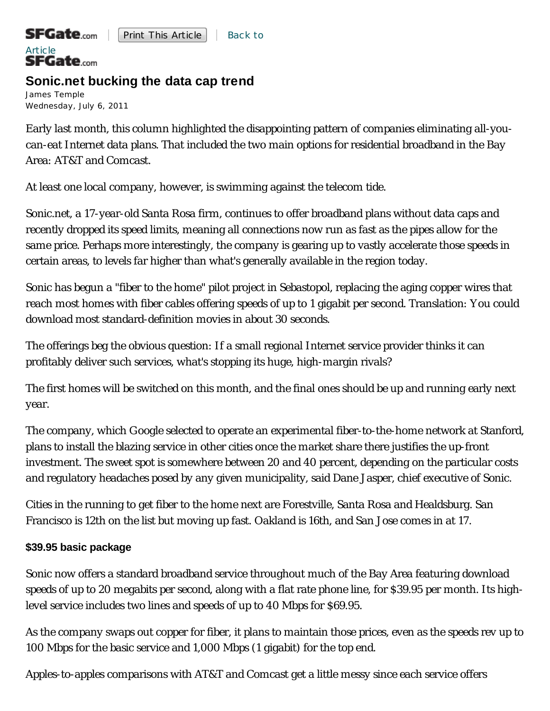# Article<br>SFGate.com

# **Sonic.net bucking the data cap trend**

James Temple Wednesday, July 6, 2011

Early last month, this column highlighted the disappointing pattern of companies eliminating all-youcan-eat Internet data plans. That included the two main options for residential broadband in the Bay Area: AT&T and Comcast.

At least one local company, however, is swimming against the telecom tide.

Sonic.net, a 17-year-old Santa Rosa firm, continues to offer broadband plans without data caps and recently dropped its speed limits, meaning all connections now run as fast as the pipes allow for the same price. Perhaps more interestingly, the company is gearing up to vastly accelerate those speeds in certain areas, to levels far higher than what's generally available in the region today.

Sonic has begun a "fiber to the home" pilot project in Sebastopol, replacing the aging copper wires that reach most homes with fiber cables offering speeds of up to 1 gigabit per second. Translation: You could download most standard-definition movies in about 30 seconds.

The offerings beg the obvious question: If a small regional Internet service provider thinks it can profitably deliver such services, what's stopping its huge, high-margin rivals?

The first homes will be switched on this month, and the final ones should be up and running early next year.

The company, which Google selected to operate an experimental fiber-to-the-home network at Stanford, plans to install the blazing service in other cities once the market share there justifies the up-front investment. The sweet spot is somewhere between 20 and 40 percent, depending on the particular costs and regulatory headaches posed by any given municipality, said Dane Jasper, chief executive of Sonic.

Cities in the running to get fiber to the home next are Forestville, Santa Rosa and Healdsburg. San Francisco is 12th on the list but moving up fast. Oakland is 16th, and San Jose comes in at 17.

## **\$39.95 basic package**

Sonic now offers a standard broadband service throughout much of the Bay Area featuring download speeds of up to 20 megabits per second, along with a flat rate phone line, for \$39.95 per month. Its highlevel service includes two lines and speeds of up to 40 Mbps for \$69.95.

As the company swaps out copper for fiber, it plans to maintain those prices, even as the speeds rev up to 100 Mbps for the basic service and 1,000 Mbps (1 gigabit) for the top end.

Apples-to-apples comparisons with AT&T and Comcast get a little messy since each service offers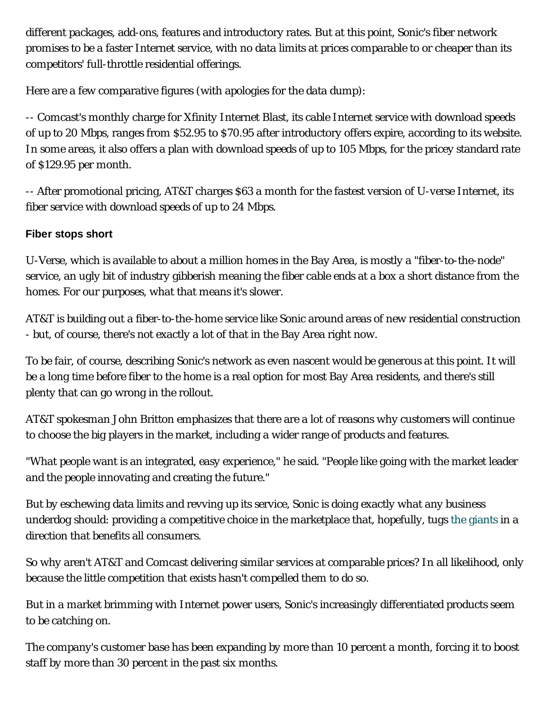different packages, add-ons, features and introductory rates. But at this point, Sonic's fiber network promises to be a faster Internet service, with no data limits at prices comparable to or cheaper than its competitors' full-throttle residential offerings.

Here are a few comparative figures (with apologies for the data dump):

-- Comcast's monthly charge for Xfinity Internet Blast, its cable Internet service with download speeds of up to 20 Mbps, ranges from \$52.95 to \$70.95 after introductory offers expire, according to its website. In some areas, it also offers a plan with download speeds of up to 105 Mbps, for the pricey standard rate of \$129.95 per month.

-- After promotional pricing, AT&T charges \$63 a month for the fastest version of U-verse Internet, its fiber service with download speeds of up to 24 Mbps.

## **Fiber stops short**

U-Verse, which is available to about a million homes in the Bay Area, is mostly a "fiber-to-the-node" service, an ugly bit of industry gibberish meaning the fiber cable ends at a box a short distance from the homes. For our purposes, what that means it's slower.

AT&T is building out a fiber-to-the-home service like Sonic around areas of new residential construction - but, of course, there's not exactly a lot of that in the Bay Area right now.

To be fair, of course, describing Sonic's network as even nascent would be generous at this point. It will be a long time before fiber to the home is a real option for most Bay Area residents, and there's still plenty that can go wrong in the rollout.

AT&T spokesman John Britton emphasizes that there are a lot of reasons why customers will continue to choose the big players in the market, including a wider range of products and features.

"What people want is an integrated, easy experience," he said. "People like going with the market leader and the people innovating and creating the future."

But by eschewing data limits and revving up its service, Sonic is doing exactly what any business underdog should: providing a competitive choice in the marketplace that, hopefully, tugs the giants in a direction that benefits all consumers.

So why aren't AT&T and Comcast delivering similar services at comparable prices? In all likelihood, only because the little competition that exists hasn't compelled them to do so.

But in a market brimming with Internet power users, Sonic's increasingly differentiated products seem to be catching on.

The company's customer base has been expanding by more than 10 percent a month, forcing it to boost staff by more than 30 percent in the past six months.